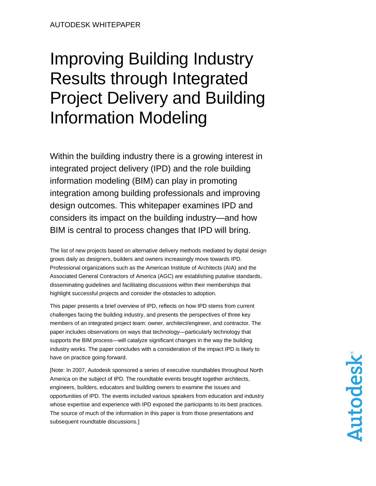# Improving Building Industry Results through Integrated Project Delivery and Building Information Modeling

Within the building industry there is a growing interest in integrated project delivery (IPD) and the role building information modeling (BIM) can play in promoting integration among building professionals and improving design outcomes. This whitepaper examines IPD and considers its impact on the building industry—and how BIM is central to process changes that IPD will bring.

The list of new projects based on alternative delivery methods mediated by digital design grows daily as designers, builders and owners increasingly move towards IPD. Professional organizations such as the American Institute of Architects (AIA) and the Associated General Contractors of America (AGC) are establishing putative standards, disseminating guidelines and facilitating discussions within their memberships that highlight successful projects and consider the obstacles to adoption.

This paper presents a brief overview of IPD, reflects on how IPD stems from current challenges facing the building industry, and presents the perspectives of three key members of an integrated project team: owner, architect/engineer, and contractor. The paper includes observations on ways that technology—particularly technology that supports the BIM process—will catalyze significant changes in the way the building industry works. The paper concludes with a consideration of the impact IPD is likely to have on practice going forward.

[Note: In 2007, Autodesk sponsored a series of executive roundtables throughout North America on the subject of IPD. The roundtable events brought together architects, engineers, builders, educators and building owners to examine the issues and opportunities of IPD. The events included various speakers from education and industry whose expertise and experience with IPD exposed the participants to its best practices. The source of much of the information in this paper is from those presentations and subsequent roundtable discussions.]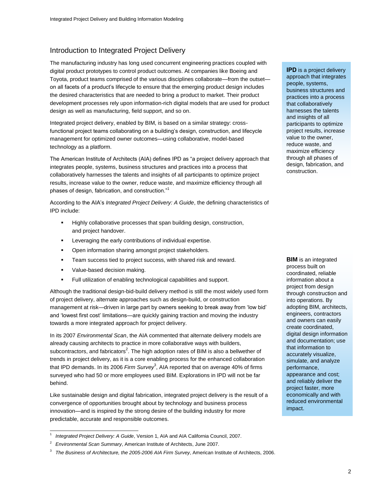## Introduction to Integrated Project Delivery

The manufacturing industry has long used concurrent engineering practices coupled with digital product prototypes to control product outcomes. At companies like Boeing and Toyota, product teams comprised of the various disciplines collaborate—from the outset on all facets of a product"s lifecycle to ensure that the emerging product design includes the desired characteristics that are needed to bring a product to market. Their product development processes rely upon information-rich digital models that are used for product design as well as manufacturing, field support, and so on.

Integrated project delivery, enabled by BIM, is based on a similar strategy: crossfunctional project teams collaborating on a building"s design, construction, and lifecycle management for optimized owner outcomes—using collaborative, model-based technology as a platform.

The American Institute of Architects (AIA) defines IPD as "a project delivery approach that integrates people, systems, business structures and practices into a process that collaboratively harnesses the talents and insights of all participants to optimize project results, increase value to the owner, reduce waste, and maximize efficiency through all phases of design, fabrication, and construction."<sup>1</sup>

According to the AIA"s *Integrated Project Delivery: A Guide*, the defining characteristics of IPD include:

- Highly collaborative processes that span building design, construction, and project handover.
- Leveraging the early contributions of individual expertise.
- Open information sharing amongst project stakeholders.
- **Team success tied to project success, with shared risk and reward.**
- **value-based decision making.**
- **Full utilization of enabling technological capabilities and support.**

Although the traditional design-bid-build delivery method is still the most widely used form of project delivery, alternate approaches such as design-build, or construction management at risk—driven in large part by owners seeking to break away from "low bid" and "lowest first cost" limitations—are quickly gaining traction and moving the industry towards a more integrated approach for project delivery.

In its 2007 *Environmental Scan*, the AIA commented that alternate delivery models are already causing architects to practice in more collaborative ways with builders, subcontractors, and fabricators<sup>2</sup>. The high adoption rates of BIM is also a bellwether of trends in project delivery, as it is a core enabling process for the enhanced collaboration that IPD demands. In its 2006 *Firm Survey*<sup>3</sup> , AIA reported that on average 40% of firms surveyed who had 50 or more employees used BIM. Explorations in IPD will not be far behind.

Like sustainable design and digital fabrication, integrated project delivery is the result of a convergence of opportunities brought about by technology and business process innovation—and is inspired by the strong desire of the building industry for more predictable, accurate and responsible outcomes.

**IPD** is a project delivery approach that integrates people, systems, business structures and practices into a process that collaboratively harnesses the talents and insights of all participants to optimize project results, increase value to the owner, reduce waste, and maximize efficiency through all phases of design, fabrication, and construction.

**BIM** is an integrated process built on coordinated, reliable information about a project from design through construction and into operations. By adopting BIM, architects, engineers, contractors and owners can easily create coordinated, digital design information and documentation; use that information to accurately visualize, simulate, and analyze performance, appearance and cost; and reliably deliver the project faster, more economically and with reduced environmental impact.

l 1 *Integrated Project Delivery: A Guide*, Version 1, AIA and AIA California Council, 2007.

<sup>2</sup> *Environmental Scan Summary*, American Institute of Architects, June 2007.

<sup>3</sup> *The Business of Architecture, the 2005-2006 AIA Firm Survey*, American Institute of Architects, 2006.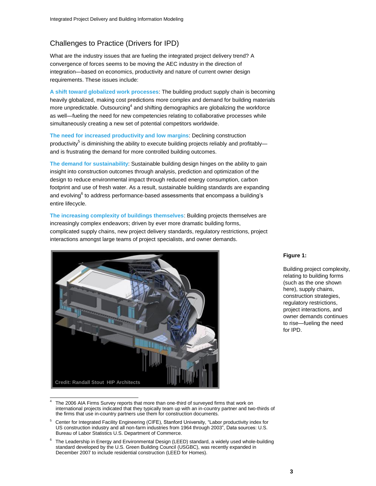# Challenges to Practice (Drivers for IPD)

What are the industry issues that are fueling the integrated project delivery trend? A convergence of forces seems to be moving the AEC industry in the direction of integration—based on economics, productivity and nature of current owner design requirements. These issues include:

**A shift toward globalized work processes**: The building product supply chain is becoming heavily globalized, making cost predictions more complex and demand for building materials more unpredictable. Outsourcing<sup>4</sup> and shifting demographics are globalizing the workforce as well—fueling the need for new competencies relating to collaborative processes while simultaneously creating a new set of potential competitors worldwide.

**The need for increased productivity and low margins**: Declining construction productivity<sup>5</sup> is diminishing the ability to execute building projects reliably and profitably and is frustrating the demand for more controlled building outcomes.

**The demand for sustainability**: Sustainable building design hinges on the ability to gain insight into construction outcomes through analysis, prediction and optimization of the design to reduce environmental impact through reduced energy consumption, carbon footprint and use of fresh water. As a result, sustainable building standards are expanding and evolving $^6$  to address performance-based assessments that encompass a building's entire lifecycle.

**The increasing complexity of buildings themselves**: Building projects themselves are increasingly complex endeavors; driven by ever more dramatic building forms, complicated supply chains, new project delivery standards, regulatory restrictions, project interactions amongst large teams of project specialists, and owner demands.



#### **Figure 1:**

Building project complexity, relating to building forms (such as the one shown here), supply chains, construction strategies, regulatory restrictions, project interactions, and owner demands continues to rise—fueling the need for IPD.

<sup>4</sup> The 2006 AIA Firms Survey reports that more than one-third of surveyed firms that work on international projects indicated that they typically team up with an in-country partner and two-thirds of the firms that use in-country partners use them for construction documents.

<sup>5</sup> Center for Integrated Facility Engineering (CIFE), Stanford University, "Labor productivity index for US construction industry and all non-farm industries from 1964 through 2003", Data sources: U.S. Bureau of Labor Statistics U.S. Department of Commerce.

<sup>6</sup> The Leadership in Energy and Environmental Design (LEED) standard, a widely used whole-building standard developed by the U.S. Green Building Council (USGBC), was recently expanded in December 2007 to include residential construction (LEED for Homes).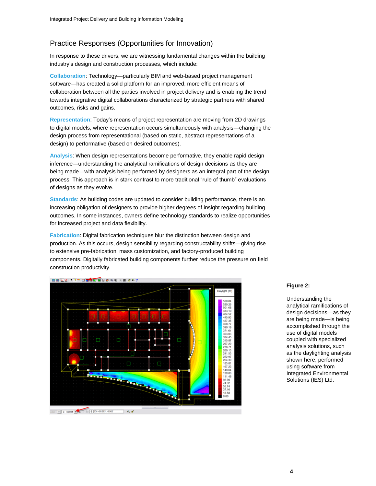# Practice Responses (Opportunities for Innovation)

In response to these drivers, we are witnessing fundamental changes within the building industry"s design and construction processes, which include:

**Collaboration**: Technology—particularly BIM and web-based project management software—has created a solid platform for an improved, more efficient means of collaboration between all the parties involved in project delivery and is enabling the trend towards integrative digital collaborations characterized by strategic partners with shared outcomes, risks and gains.

**Representation**: Today"s means of project representation are moving from 2D drawings to digital models, where representation occurs simultaneously with analysis—changing the design process from representational (based on static, abstract representations of a design) to performative (based on desired outcomes).

**Analysis**: When design representations become performative, they enable rapid design inference—understanding the analytical ramifications of design decisions *as* they are being made—with analysis being performed by designers as an integral part of the design process. This approach is in stark contrast to more traditional "rule of thumb" evaluations of designs as they evolve.

**Standards**: As building codes are updated to consider building performance, there is an increasing obligation of designers to provide higher degrees of insight regarding building outcomes. In some instances, owners define technology standards to realize opportunities for increased project and data flexibility.

**Fabrication**: Digital fabrication techniques blur the distinction between design and production. As this occurs, design sensibility regarding constructability shifts—giving rise to extensive pre-fabrication, mass customization, and factory-produced building components. Digitally fabricated building components further reduce the pressure on field construction productivity.



#### **Figure 2:**

Understanding the analytical ramifications of design decisions—as they are being made—is being accomplished through the use of digital models coupled with specialized analysis solutions, such as the daylighting analysis shown here, performed using software from Integrated Environmental Solutions (IES) Ltd.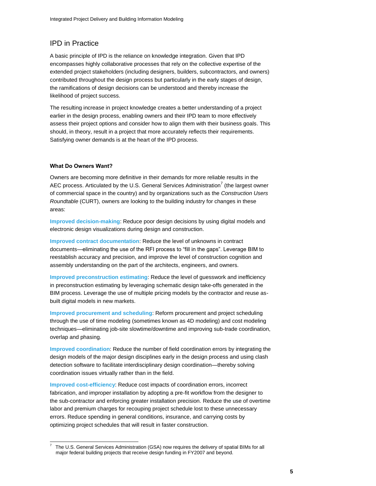# IPD in Practice

A basic principle of IPD is the reliance on knowledge integration. Given that IPD encompasses highly collaborative processes that rely on the collective expertise of the extended project stakeholders (including designers, builders, subcontractors, and owners) contributed throughout the design process but particularly in the early stages of design, the ramifications of design decisions can be understood and thereby increase the likelihood of project success.

The resulting increase in project knowledge creates a better understanding of a project earlier in the design process, enabling owners and their IPD team to more effectively assess their project options and consider how to align them with their business goals. This should, in theory, result in a project that more accurately reflects their requirements. Satisfying owner demands is at the heart of the IPD process.

#### **What Do Owners Want?**

Owners are becoming more definitive in their demands for more reliable results in the AEC process. Articulated by the U.S. General Services Administration<sup>7</sup> (the largest owner of commercial space in the country) and by organizations such as the *[Construction Users](http://www.curt.org/)  [Roundtable](http://www.curt.org/)* (CURT), owners are looking to the building industry for changes in these areas:

**Improved decision-making**: Reduce poor design decisions by using digital models and electronic design visualizations during design and construction.

**Improved contract documentation**: Reduce the level of unknowns in contract documents—eliminating the use of the RFI process to "fill in the gaps". Leverage BIM to reestablish accuracy and precision, and improve the level of construction cognition and assembly understanding on the part of the architects, engineers, and owners.

**Improved preconstruction estimating**: Reduce the level of guesswork and inefficiency in preconstruction estimating by leveraging schematic design take-offs generated in the BIM process. Leverage the use of multiple pricing models by the contractor and reuse asbuilt digital models in new markets.

**Improved procurement and scheduling**: Reform procurement and project scheduling through the use of time modeling (sometimes known as 4D modeling) and cost modeling techniques—eliminating job-site slowtime/downtime and improving sub-trade coordination, overlap and phasing.

**Improved coordination**: Reduce the number of field coordination errors by integrating the design models of the major design disciplines early in the design process and using clash detection software to facilitate interdisciplinary design coordination—thereby solving coordination issues virtually rather than in the field.

**Improved cost-efficiency**: Reduce cost impacts of coordination errors, incorrect fabrication, and improper installation by adopting a pre-fit workflow from the designer to the sub-contractor and enforcing greater installation precision. Reduce the use of overtime labor and premium charges for recouping project schedule lost to these unnecessary errors. Reduce spending in general conditions, insurance, and carrying costs by optimizing project schedules that will result in faster construction.

l 7 The U.S. General Services Administration (GSA) now requires the delivery of spatial BIMs for all major federal building projects that receive design funding in FY2007 and beyond.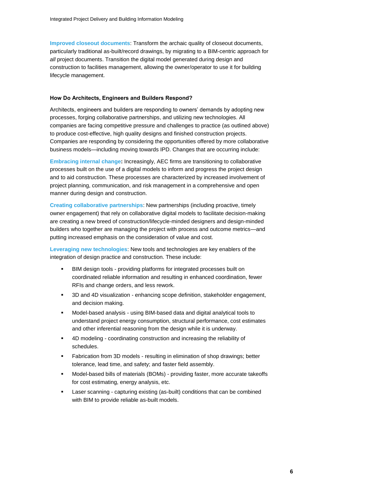**Improved closeout documents**: Transform the archaic quality of closeout documents, particularly traditional as-built/record drawings, by migrating to a BIM-centric approach for *all* project documents. Transition the digital model generated during design and construction to facilities management, allowing the owner/operator to use it for building lifecycle management.

#### **How Do Architects, Engineers and Builders Respond?**

Architects, engineers and builders are responding to owners" demands by adopting new processes, forging collaborative partnerships, and utilizing new technologies. All companies are facing competitive pressure and challenges to practice (as outlined above) to produce cost-effective, high quality designs and finished construction projects. Companies are responding by considering the opportunities offered by more collaborative business models—including moving towards IPD. Changes that are occurring include:

**Embracing internal change:** Increasingly, AEC firms are transitioning to collaborative processes built on the use of a digital models to inform and progress the project design and to aid construction. These processes are characterized by increased involvement of project planning, communication, and risk management in a comprehensive and open manner during design and construction.

**Creating collaborative partnerships**: New partnerships (including proactive, timely owner engagement) that rely on collaborative digital models to facilitate decision-making are creating a new breed of construction/lifecycle-minded designers and design-minded builders who together are managing the project with process and outcome metrics—and putting increased emphasis on the consideration of value and cost.

**Leveraging new technologies**: New tools and technologies are key enablers of the integration of design practice and construction. These include:

- BIM design tools providing platforms for integrated processes built on coordinated reliable information and resulting in enhanced coordination, fewer RFIs and change orders, and less rework.
- 3D and 4D visualization enhancing scope definition, stakeholder engagement, and decision making.
- Model-based analysis using BIM-based data and digital analytical tools to understand project energy consumption, structural performance, cost estimates and other inferential reasoning from the design while it is underway.
- 4D modeling coordinating construction and increasing the reliability of schedules.
- Fabrication from 3D models resulting in elimination of shop drawings; better tolerance, lead time, and safety; and faster field assembly.
- Model-based bills of materials (BOMs) providing faster, more accurate takeoffs for cost estimating, energy analysis, etc.
- Laser scanning capturing existing (as-built) conditions that can be combined with BIM to provide reliable as-built models.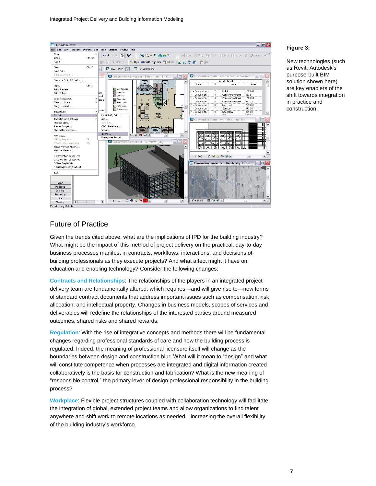

#### **Figure 3:**

New technologies (such as Revit, Autodesk"s purpose-built BIM solution shown here) are key enablers of the shift towards integration in practice and construction.

#### Future of Practice

Given the trends cited above, what are the implications of IPD for the building industry? What might be the impact of this method of project delivery on the practical, day-to-day business processes manifest in contracts, workflows, interactions, and decisions of building professionals as they execute projects? And what affect might it have on education and enabling technology? Consider the following changes:

**Contracts and Relationships**: The relationships of the players in an integrated project delivery team are fundamentally altered, which requires—and will give rise to—new forms of standard contract documents that address important issues such as compensation, risk allocation, and intellectual property. Changes in business models, scopes of services and deliverables will redefine the relationships of the interested parties around measured outcomes, shared risks and shared rewards.

**Regulation**: With the rise of integrative concepts and methods there will be fundamental changes regarding professional standards of care and how the building process is regulated. Indeed, the meaning of professional licensure itself will change as the boundaries between design and construction blur. What will it mean to "design" and what will constitute competence when processes are integrated and digital information created collaboratively is the basis for construction and fabrication? What is the new meaning of "responsible control," the primary lever of design professional responsibility in the building process?

**Workplace**: Flexible project structures coupled with collaboration technology will facilitate the integration of global, extended project teams and allow organizations to find talent anywhere and shift work to remote locations as needed—increasing the overall flexibility of the building industry's workforce.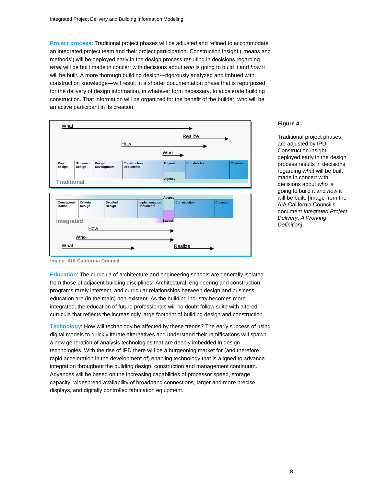**Project process**: Traditional project phases will be adjusted and refined to accommodate an integrated project team and their project participation. Construction insight ("means and methods") will be deployed early in the design process resulting in decisions regarding *what* will be built made in concert with decisions about *who* is going to build it and *how* it will be built. A more thorough building design—rigorously analyzed and imbued with construction knowledge—will result in a shorter documentation phase that is repurposed for the delivery of design information, in whatever form necessary, to accelerate building construction. That information will be organized for the benefit of the builder, who will be an active participant in its creation.



#### **Figure 4:**

Traditional project phases are adjusted by IPD. Construction insight deployed early in the design process results in decisions regarding *what* will be built made in concert with decisions about *who* is going to build it and *how* it will be built. [Image from the AIA California Council"s document *Integrated Project Delivery, A Working Definition].*

**Image: AIA California Council**

**Education**: The curricula of architecture and engineering schools are generally isolated from those of adjacent building disciplines. Architectural, engineering and construction programs rarely intersect, and curricular relationships between design and business education are (in the main) non-existent. As the building industry becomes more integrated, the education of future professionals will no doubt follow suite with altered curricula that reflects the increasingly large footprint of building design and construction.

**Technology**: How will technology be affected by these trends? The early success of using digital models to quickly iterate alternatives and understand their ramifications will spawn a new generation of analysis technologies that are deeply imbedded in design technologies. With the rise of IPD there will be a burgeoning market for (and therefore rapid acceleration in the development of) enabling technology that is aligned to advance integration throughout the building design, construction and management continuum. Advances will be based on the increasing capabilities of processor speed, storage capacity, widespread availability of broadband connections, larger and more precise displays, and digitally controlled fabrication equipment.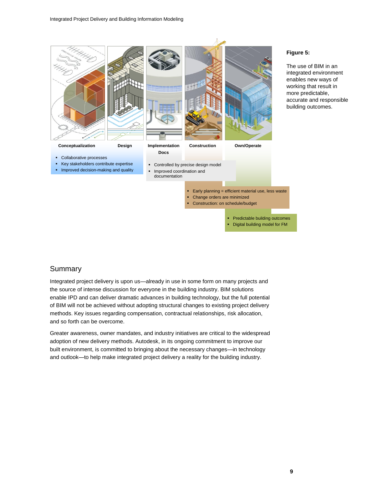

#### **Figure 5:**

The use of BIM in an integrated environment enables new ways of working that result in more predictable, accurate and responsible building outcomes.

#### Summary

Integrated project delivery is upon us—already in use in some form on many projects and the source of intense discussion for everyone in the building industry. BIM solutions enable IPD and can deliver dramatic advances in building technology, but the full potential of BIM will not be achieved without adopting structural changes to existing project delivery methods. Key issues regarding compensation, contractual relationships, risk allocation, and so forth can be overcome.

Greater awareness, owner mandates, and industry initiatives are critical to the widespread adoption of new delivery methods. Autodesk, in its ongoing commitment to improve our built environment, is committed to bringing about the necessary changes—in technology and outlook—to help make integrated project delivery a reality for the building industry.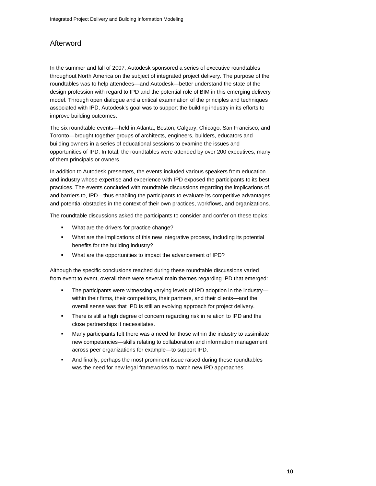# Afterword

In the summer and fall of 2007, Autodesk sponsored a series of executive roundtables throughout North America on the subject of integrated project delivery. The purpose of the roundtables was to help attendees—and Autodesk—better understand the state of the design profession with regard to IPD and the potential role of BIM in this emerging delivery model. Through open dialogue and a critical examination of the principles and techniques associated with IPD, Autodesk"s goal was to support the building industry in its efforts to improve building outcomes.

The six roundtable events—held in Atlanta, Boston, Calgary, Chicago, San Francisco, and Toronto—brought together groups of architects, engineers, builders, educators and building owners in a series of educational sessions to examine the issues and opportunities of IPD. In total, the roundtables were attended by over 200 executives, many of them principals or owners.

In addition to Autodesk presenters, the events included various speakers from education and industry whose expertise and experience with IPD exposed the participants to its best practices. The events concluded with roundtable discussions regarding the implications of, and barriers to, IPD—thus enabling the participants to evaluate its competitive advantages and potential obstacles in the context of their own practices, workflows, and organizations.

The roundtable discussions asked the participants to consider and confer on these topics:

- What are the drivers for practice change?
- What are the implications of this new integrative process, including its potential benefits for the building industry?
- What are the opportunities to impact the advancement of IPD?

Although the specific conclusions reached during these roundtable discussions varied from event to event, overall there were several main themes regarding IPD that emerged:

- The participants were witnessing varying levels of IPD adoption in the industry within their firms, their competitors, their partners, and their clients—and the overall sense was that IPD is still an evolving approach for project delivery.
- There is still a high degree of concern regarding risk in relation to IPD and the close partnerships it necessitates.
- Many participants felt there was a need for those within the industry to assimilate new competencies—skills relating to collaboration and information management across peer organizations for example—to support IPD.
- And finally, perhaps the most prominent issue raised during these roundtables was the need for new legal frameworks to match new IPD approaches.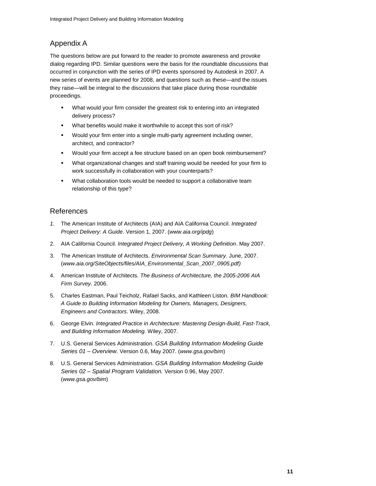# Appendix A

The questions below are put forward to the reader to promote awareness and provoke dialog regarding IPD. Similar questions were the basis for the roundtable discussions that occurred in conjunction with the series of IPD events sponsored by Autodesk in 2007. A new series of events are planned for 2008, and questions such as these—and the issues they raise—will be integral to the discussions that take place during those roundtable proceedings.

- What would your firm consider the greatest risk to entering into an integrated delivery process?
- What benefits would make it worthwhile to accept this sort of risk?
- Would your firm enter into a single multi-party agreement including owner, architect, and contractor?
- Would your firm accept a fee structure based on an open book reimbursement?
- What organizational changes and staff training would be needed for your firm to work successfully in collaboration with your counterparts?
- What collaboration tools would be needed to support a collaborative team relationship of this type?

### References

- *1.* The American Institute of Architects (AIA) and AIA California Council. *Integrated Project Delivery: A Guide*. Version 1, 2007. (*[www.aia.org/ipdg](http://www.aia.org/ipdg)*)
- 2. AIA California Council. *Integrated Project Delivery, A Working Definition*. May 2007.
- 3. The American Institute of Architects. *Environmental Scan Summary*. June, 2007. (*www.aia.org/SiteObjects/files/AIA\_Environmental\_Scan\_2007\_0905.pdf)*
- 4. American Institute of Architects. *The Business of Architecture, the 2005-2006 AIA Firm Survey.* 2006.
- 5. Charles Eastman, Paul Teicholz, Rafael Sacks, and Kathleen Liston. *BIM Handbook: A Guide to Building Information Modeling for Owners, Managers, Designers, Engineers and Contractors*. Wiley, 2008.
- 6. George Elvin. *Integrated Practice in Architecture: Mastering Design-Build, Fast-Track, and Building Information Modeling.* Wiley, 2007.
- 7. U.S. General Services Administration. *GSA Building Information Modeling Guide Series 01 – Overview.* Version 0.6, May 2007. (*[www.gsa.gov/bim](http://www.gsa.gov/bim)*)
- 8. U.S. General Services Administration. *GSA Building Information Modeling Guide Series 02 – Spatial Program Validation.* Version 0.96, May 2007. (*[www.gsa.gov/bim](http://www.gsa.gov/bim)*)